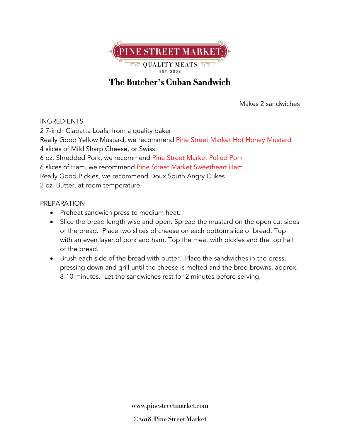

## **The Butcher's Cuban Sandwich**

Makes 2 sandwiches

## INGREDIENTS

2 7-inch Ciabatta Loafs, from a quality baker Really Good Yellow Mustard, we recommend Pine Street Market Hot Honey Mustard 4 slices of Mild Sharp Cheese, or Swiss 6 oz. Shredded Pork, we recommend Pine Street Market Pulled Pork 6 slices of Ham, we recommend Pine Street Market Sweetheart Ham Really Good Pickles, we recommend Doux South Angry Cukes 2 oz. Butter, at room temperature

## PREPARATION

- Preheat sandwich press to medium heat.
- Slice the bread length wise and open. Spread the mustard on the open cut sides of the bread. Place two slices of cheese on each bottom slice of bread. Top with an even layer of pork and ham. Top the meat with pickles and the top half of the bread.
- Brush each side of the bread with butter. Place the sandwiches in the press, pressing down and grill until the cheese is melted and the bred browns, approx. 8-10 minutes. Let the sandwiches rest for 2 minutes before serving.

**www.pinestreetmarket.com**

Ó**2018, Pine Street Market**